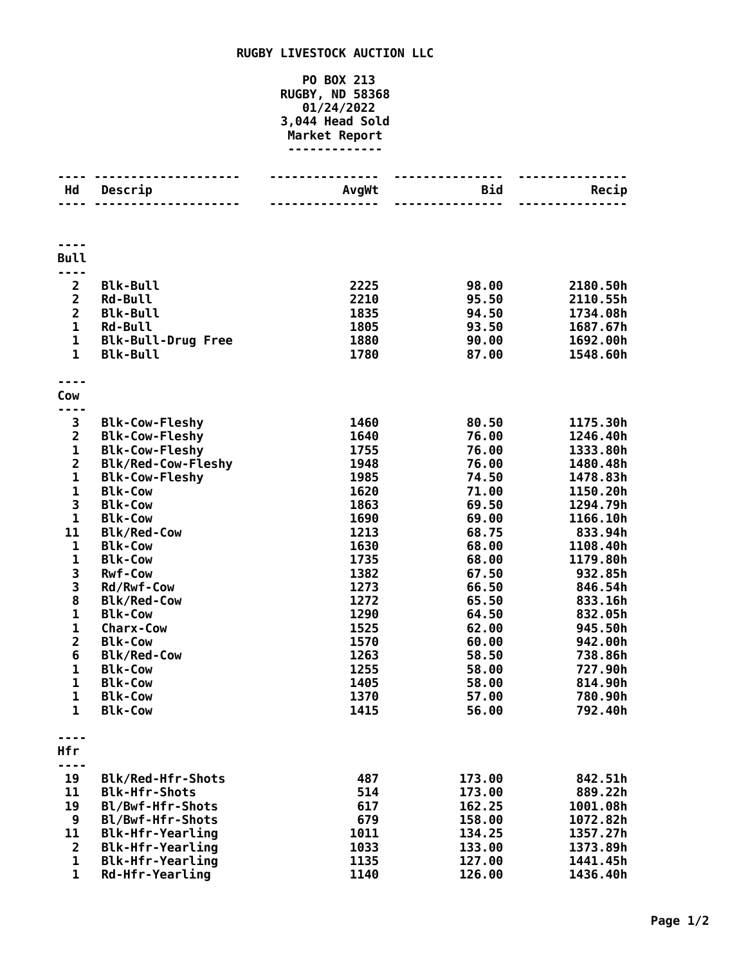## **RUGBY LIVESTOCK AUCTION LLC**

## **PO BOX 213 RUGBY, ND 58368 01/24/2022 3,044 Head Sold Market Report -------------**

| Hd                                        | Descrip                                    | AvgWt        | Bid              | Recip                |
|-------------------------------------------|--------------------------------------------|--------------|------------------|----------------------|
|                                           |                                            |              |                  |                      |
| <b>Bull</b>                               |                                            |              |                  |                      |
|                                           |                                            |              |                  |                      |
| $\overline{\mathbf{2}}$<br>$\overline{2}$ | <b>Blk-Bull</b>                            | 2225<br>2210 | 98.00            | 2180.50h             |
| $\overline{2}$                            | <b>Rd-Bull</b><br><b>Blk-Bull</b>          | 1835         | 95.50<br>94.50   | 2110.55h<br>1734.08h |
| $\mathbf{1}$                              | <b>Rd-Bull</b>                             | 1805         | 93.50            | 1687.67h             |
| 1                                         | <b>Blk-Bull-Drug Free</b>                  | 1880         | 90.00            | 1692.00h             |
| $\mathbf{1}$                              | <b>Blk-Bull</b>                            | 1780         | 87.00            | 1548.60h             |
|                                           |                                            |              |                  |                      |
| Cow                                       |                                            |              |                  |                      |
|                                           |                                            |              |                  |                      |
| 3                                         | <b>Blk-Cow-Fleshy</b>                      | 1460         | 80.50            | 1175.30h             |
| $\overline{2}$                            | <b>Blk-Cow-Fleshy</b>                      | 1640         | 76.00            | 1246.40h             |
| $\mathbf 1$                               | <b>Blk-Cow-Fleshy</b>                      | 1755         | 76.00            | 1333.80h             |
| $\overline{2}$                            | Blk/Red-Cow-Fleshy                         | 1948         | 76.00            | 1480.48h             |
| $\mathbf{1}$                              | <b>Blk-Cow-Fleshy</b>                      | 1985         | 74.50            | 1478.83h             |
| 1                                         | <b>Blk-Cow</b>                             | 1620         | 71.00            | 1150.20h             |
| 3                                         | <b>Blk-Cow</b>                             | 1863         | 69.50            | 1294.79h             |
| 1                                         | <b>Blk-Cow</b>                             | 1690         | 69.00            | 1166.10h             |
| 11                                        | <b>Blk/Red-Cow</b>                         | 1213         | 68.75            | 833.94h              |
| 1                                         | <b>Blk-Cow</b>                             | 1630         | 68.00            | 1108.40h             |
| $\mathbf{1}$                              | <b>Blk-Cow</b>                             | 1735         | 68.00            | 1179.80h             |
| 3                                         | <b>Rwf-Cow</b>                             | 1382         | 67.50            | 932.85h              |
| 3                                         | Rd/Rwf-Cow                                 | 1273         | 66.50            | 846.54h              |
| 8<br>$\mathbf 1$                          | <b>Blk/Red-Cow</b>                         | 1272         | 65.50            | 833.16h              |
| 1                                         | <b>Blk-Cow</b><br><b>Charx-Cow</b>         | 1290<br>1525 | 64.50            | 832.05h              |
| $\overline{2}$                            | <b>Blk-Cow</b>                             | 1570         | 62.00<br>60.00   | 945.50h              |
| 6                                         | <b>Blk/Red-Cow</b>                         | 1263         | 58.50            | 942.00h<br>738.86h   |
| 1                                         | <b>Blk-Cow</b>                             | 1255         | 58.00            | 727.90h              |
| 1                                         | <b>Blk-Cow</b>                             | 1405         | 58.00            | 814.90h              |
| $\mathbf 1$                               | <b>Blk-Cow</b>                             | 1370         | 57.00            | 780.90h              |
| 1                                         | <b>Blk-Cow</b>                             | 1415         | 56.00            | 792.40h              |
|                                           |                                            |              |                  |                      |
| Hfr                                       |                                            |              |                  |                      |
|                                           |                                            |              |                  |                      |
| 19                                        | Blk/Red-Hfr-Shots                          | 487          | 173.00           | 842.51h              |
| 11                                        | <b>Blk-Hfr-Shots</b>                       | 514          | 173.00           | 889.22h              |
| 19                                        | Bl/Bwf-Hfr-Shots                           | 617          | 162.25           | 1001.08h             |
| 9                                         | Bl/Bwf-Hfr-Shots                           | 679          | 158.00           | 1072.82h             |
| 11                                        | <b>Blk-Hfr-Yearling</b>                    | 1011         | 134.25           | 1357.27h             |
| $\overline{2}$<br>$\mathbf 1$             | <b>Blk-Hfr-Yearling</b>                    | 1033         | 133.00           | 1373.89h             |
| $\mathbf 1$                               | <b>Blk-Hfr-Yearling</b><br>Rd-Hfr-Yearling | 1135<br>1140 | 127.00<br>126.00 | 1441.45h<br>1436.40h |
|                                           |                                            |              |                  |                      |